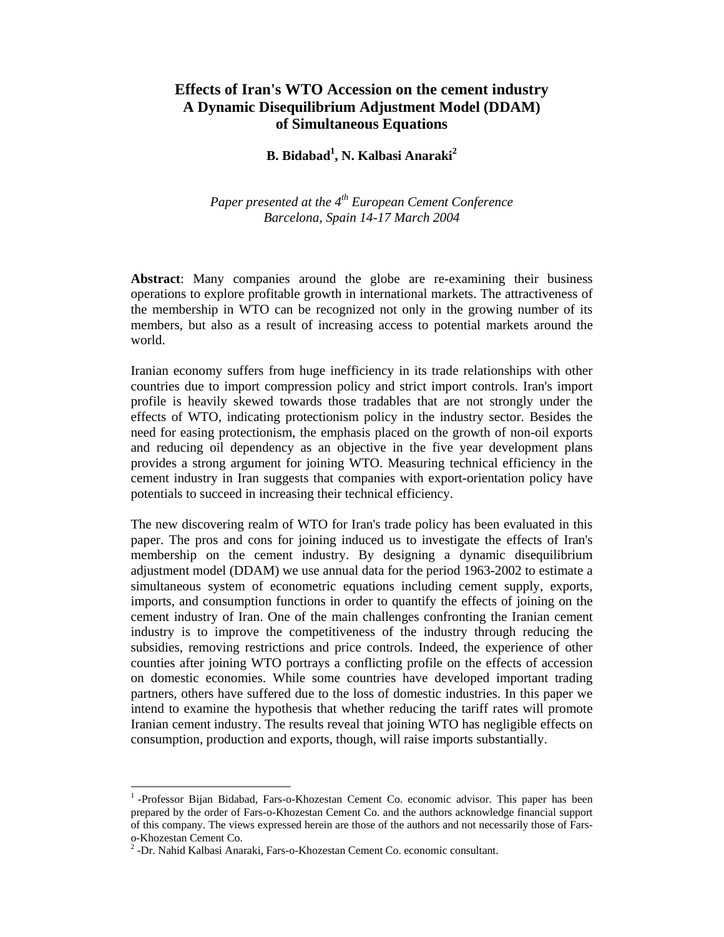# **Effects of Iran's WTO Accession on the cement industry A Dynamic Disequilibrium Adjustment Model (DDAM) of Simultaneous Equations**

# **B.** Bidabad<sup>1</sup>, N. Kalbasi Anaraki<sup>2</sup>

*Paper presented at the 4th European Cement Conference Barcelona, Spain 14-17 March 2004* 

**Abstract**: Many companies around the globe are re-examining their business operations to explore profitable growth in international markets. The attractiveness of the membership in WTO can be recognized not only in the growing number of its members, but also as a result of increasing access to potential markets around the world.

Iranian economy suffers from huge inefficiency in its trade relationships with other countries due to import compression policy and strict import controls. Iran's import profile is heavily skewed towards those tradables that are not strongly under the effects of WTO, indicating protectionism policy in the industry sector. Besides the need for easing protectionism, the emphasis placed on the growth of non-oil exports and reducing oil dependency as an objective in the five year development plans provides a strong argument for joining WTO. Measuring technical efficiency in the cement industry in Iran suggests that companies with export-orientation policy have potentials to succeed in increasing their technical efficiency.

The new discovering realm of WTO for Iran's trade policy has been evaluated in this paper. The pros and cons for joining induced us to investigate the effects of Iran's membership on the cement industry. By designing a dynamic disequilibrium adjustment model (DDAM) we use annual data for the period 1963-2002 to estimate a simultaneous system of econometric equations including cement supply, exports, imports, and consumption functions in order to quantify the effects of joining on the cement industry of Iran. One of the main challenges confronting the Iranian cement industry is to improve the competitiveness of the industry through reducing the subsidies, removing restrictions and price controls. Indeed, the experience of other counties after joining WTO portrays a conflicting profile on the effects of accession on domestic economies. While some countries have developed important trading partners, others have suffered due to the loss of domestic industries. In this paper we intend to examine the hypothesis that whether reducing the tariff rates will promote Iranian cement industry. The results reveal that joining WTO has negligible effects on consumption, production and exports, though, will raise imports substantially.

 $\overline{a}$ 

<sup>&</sup>lt;sup>1</sup>-Professor Bijan Bidabad, Fars-o-Khozestan Cement Co. economic advisor. This paper has been prepared by the order of Fars-o-Khozestan Cement Co. and the authors acknowledge financial support of this company. The views expressed herein are those of the authors and not necessarily those of Farso-Khozestan Cement Co.

<sup>&</sup>lt;sup>2</sup> -Dr. Nahid Kalbasi Anaraki, Fars-o-Khozestan Cement Co. economic consultant.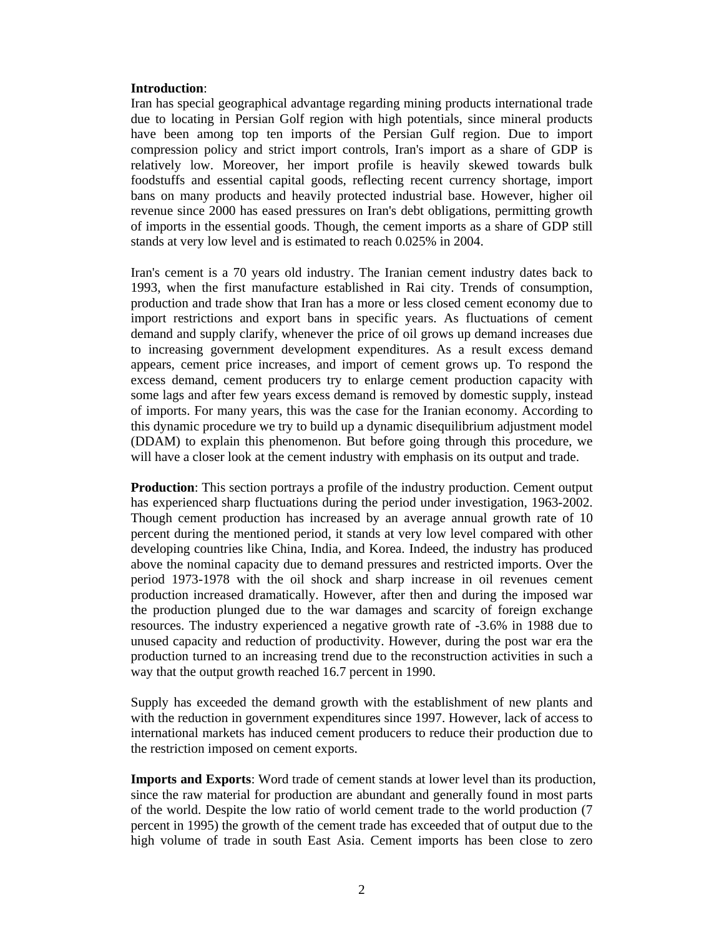## **Introduction**:

Iran has special geographical advantage regarding mining products international trade due to locating in Persian Golf region with high potentials, since mineral products have been among top ten imports of the Persian Gulf region. Due to import compression policy and strict import controls, Iran's import as a share of GDP is relatively low. Moreover, her import profile is heavily skewed towards bulk foodstuffs and essential capital goods, reflecting recent currency shortage, import bans on many products and heavily protected industrial base. However, higher oil revenue since 2000 has eased pressures on Iran's debt obligations, permitting growth of imports in the essential goods. Though, the cement imports as a share of GDP still stands at very low level and is estimated to reach 0.025% in 2004.

Iran's cement is a 70 years old industry. The Iranian cement industry dates back to 1993, when the first manufacture established in Rai city. Trends of consumption, production and trade show that Iran has a more or less closed cement economy due to import restrictions and export bans in specific years. As fluctuations of cement demand and supply clarify, whenever the price of oil grows up demand increases due to increasing government development expenditures. As a result excess demand appears, cement price increases, and import of cement grows up. To respond the excess demand, cement producers try to enlarge cement production capacity with some lags and after few years excess demand is removed by domestic supply, instead of imports. For many years, this was the case for the Iranian economy. According to this dynamic procedure we try to build up a dynamic disequilibrium adjustment model (DDAM) to explain this phenomenon. But before going through this procedure, we will have a closer look at the cement industry with emphasis on its output and trade.

**Production**: This section portrays a profile of the industry production. Cement output has experienced sharp fluctuations during the period under investigation, 1963-2002. Though cement production has increased by an average annual growth rate of 10 percent during the mentioned period, it stands at very low level compared with other developing countries like China, India, and Korea. Indeed, the industry has produced above the nominal capacity due to demand pressures and restricted imports. Over the period 1973-1978 with the oil shock and sharp increase in oil revenues cement production increased dramatically. However, after then and during the imposed war the production plunged due to the war damages and scarcity of foreign exchange resources. The industry experienced a negative growth rate of -3.6% in 1988 due to unused capacity and reduction of productivity. However, during the post war era the production turned to an increasing trend due to the reconstruction activities in such a way that the output growth reached 16.7 percent in 1990.

Supply has exceeded the demand growth with the establishment of new plants and with the reduction in government expenditures since 1997. However, lack of access to international markets has induced cement producers to reduce their production due to the restriction imposed on cement exports.

**Imports and Exports**: Word trade of cement stands at lower level than its production, since the raw material for production are abundant and generally found in most parts of the world. Despite the low ratio of world cement trade to the world production (7 percent in 1995) the growth of the cement trade has exceeded that of output due to the high volume of trade in south East Asia. Cement imports has been close to zero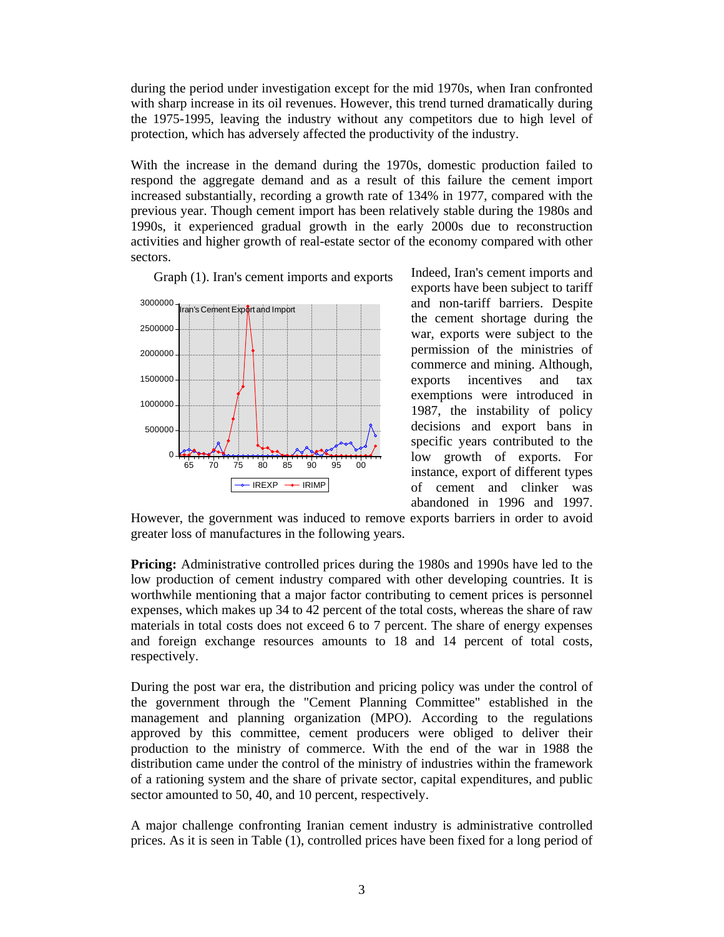during the period under investigation except for the mid 1970s, when Iran confronted with sharp increase in its oil revenues. However, this trend turned dramatically during the 1975-1995, leaving the industry without any competitors due to high level of protection, which has adversely affected the productivity of the industry.

With the increase in the demand during the 1970s, domestic production failed to respond the aggregate demand and as a result of this failure the cement import increased substantially, recording a growth rate of 134% in 1977, compared with the previous year. Though cement import has been relatively stable during the 1980s and 1990s, it experienced gradual growth in the early 2000s due to reconstruction activities and higher growth of real-estate sector of the economy compared with other sectors.



Graph (1). Iran's cement imports and exports

Indeed, Iran's cement imports and exports have been subject to tariff and non-tariff barriers. Despite the cement shortage during the war, exports were subject to the permission of the ministries of commerce and mining. Although, exports incentives and tax exemptions were introduced in 1987, the instability of policy decisions and export bans in specific years contributed to the low growth of exports. For instance, export of different types of cement and clinker was abandoned in 1996 and 1997.

However, the government was induced to remove exports barriers in order to avoid greater loss of manufactures in the following years.

**Pricing:** Administrative controlled prices during the 1980s and 1990s have led to the low production of cement industry compared with other developing countries. It is worthwhile mentioning that a major factor contributing to cement prices is personnel expenses, which makes up 34 to 42 percent of the total costs, whereas the share of raw materials in total costs does not exceed 6 to 7 percent. The share of energy expenses and foreign exchange resources amounts to 18 and 14 percent of total costs, respectively.

During the post war era, the distribution and pricing policy was under the control of the government through the "Cement Planning Committee" established in the management and planning organization (MPO). According to the regulations approved by this committee, cement producers were obliged to deliver their production to the ministry of commerce. With the end of the war in 1988 the distribution came under the control of the ministry of industries within the framework of a rationing system and the share of private sector, capital expenditures, and public sector amounted to 50, 40, and 10 percent, respectively.

A major challenge confronting Iranian cement industry is administrative controlled prices. As it is seen in Table (1), controlled prices have been fixed for a long period of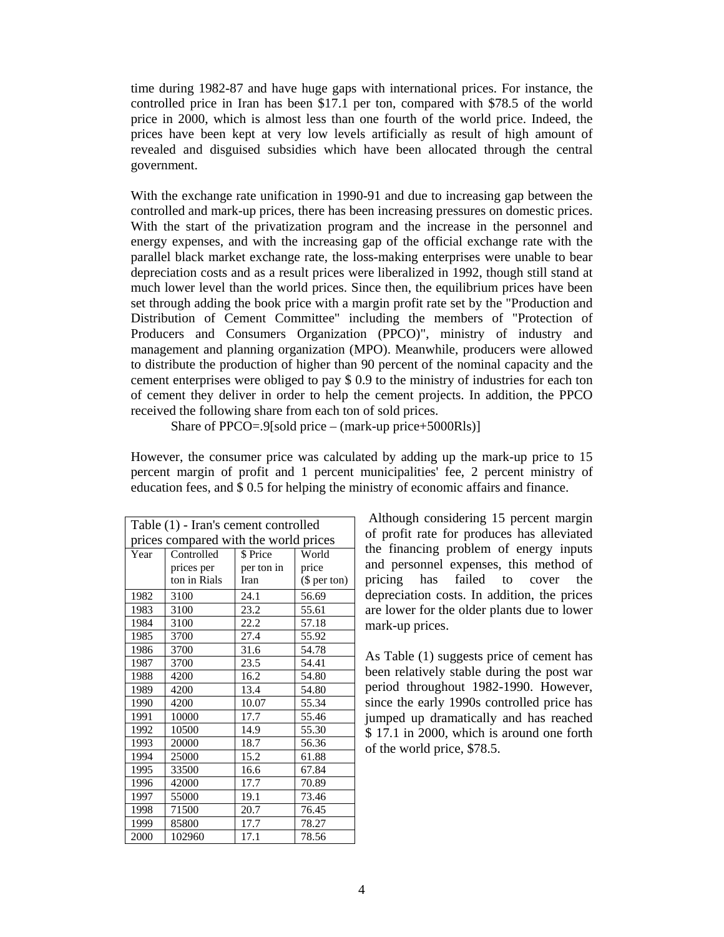time during 1982-87 and have huge gaps with international prices. For instance, the controlled price in Iran has been \$17.1 per ton, compared with \$78.5 of the world price in 2000, which is almost less than one fourth of the world price. Indeed, the prices have been kept at very low levels artificially as result of high amount of revealed and disguised subsidies which have been allocated through the central government.

With the exchange rate unification in 1990-91 and due to increasing gap between the controlled and mark-up prices, there has been increasing pressures on domestic prices. With the start of the privatization program and the increase in the personnel and energy expenses, and with the increasing gap of the official exchange rate with the parallel black market exchange rate, the loss-making enterprises were unable to bear depreciation costs and as a result prices were liberalized in 1992, though still stand at much lower level than the world prices. Since then, the equilibrium prices have been set through adding the book price with a margin profit rate set by the "Production and Distribution of Cement Committee" including the members of "Protection of Producers and Consumers Organization (PPCO)", ministry of industry and management and planning organization (MPO). Meanwhile, producers were allowed to distribute the production of higher than 90 percent of the nominal capacity and the cement enterprises were obliged to pay \$ 0.9 to the ministry of industries for each ton of cement they deliver in order to help the cement projects. In addition, the PPCO received the following share from each ton of sold prices.

Share of PPCO=.9[sold price – (mark-up price+5000Rls)]

However, the consumer price was calculated by adding up the mark-up price to 15 percent margin of profit and 1 percent municipalities' fee, 2 percent ministry of education fees, and \$ 0.5 for helping the ministry of economic affairs and finance.

| Table (1) - Iran's cement controlled  |              |            |              |  |  |  |  |
|---------------------------------------|--------------|------------|--------------|--|--|--|--|
| prices compared with the world prices |              |            |              |  |  |  |  |
| Year                                  | Controlled   | \$ Price   | World        |  |  |  |  |
|                                       | prices per   | per ton in | price        |  |  |  |  |
|                                       | ton in Rials | Iran       | $$$ per ton) |  |  |  |  |
| 1982                                  | 3100         | 24.1       | 56.69        |  |  |  |  |
| 1983                                  | 3100         | 23.2       | 55.61        |  |  |  |  |
| 1984                                  | 3100         | 22.2       | 57.18        |  |  |  |  |
| 1985                                  | 3700         | 27.4       | 55.92        |  |  |  |  |
| 1986                                  | 3700         | 31.6       | 54.78        |  |  |  |  |
| 1987                                  | 3700         | 23.5       | 54.41        |  |  |  |  |
| 1988                                  | 4200         | 16.2       | 54.80        |  |  |  |  |
| 1989                                  | 4200         | 13.4       | 54.80        |  |  |  |  |
| 1990                                  | 4200         | 10.07      | 55.34        |  |  |  |  |
| 1991                                  | 10000        | 17.7       | 55.46        |  |  |  |  |
| 1992                                  | 10500        | 14.9       | 55.30        |  |  |  |  |
| 1993                                  | 20000        | 18.7       | 56.36        |  |  |  |  |
| 1994                                  | 25000        | 15.2       | 61.88        |  |  |  |  |
| 1995                                  | 33500        | 16.6       | 67.84        |  |  |  |  |
| 1996                                  | 42000        | 17.7       | 70.89        |  |  |  |  |
| 1997                                  | 55000        | 19.1       | 73.46        |  |  |  |  |
| 1998                                  | 71500        | 20.7       | 76.45        |  |  |  |  |
| 1999                                  | 85800        | 17.7       | 78.27        |  |  |  |  |
| 2000                                  | 102960       | 17.1       | 78.56        |  |  |  |  |

 Although considering 15 percent margin of profit rate for produces has alleviated the financing problem of energy inputs and personnel expenses, this method of pricing has failed to cover the depreciation costs. In addition, the prices are lower for the older plants due to lower mark-up prices.

As Table (1) suggests price of cement has been relatively stable during the post war period throughout 1982-1990. However, since the early 1990s controlled price has jumped up dramatically and has reached \$ 17.1 in 2000, which is around one forth of the world price, \$78.5.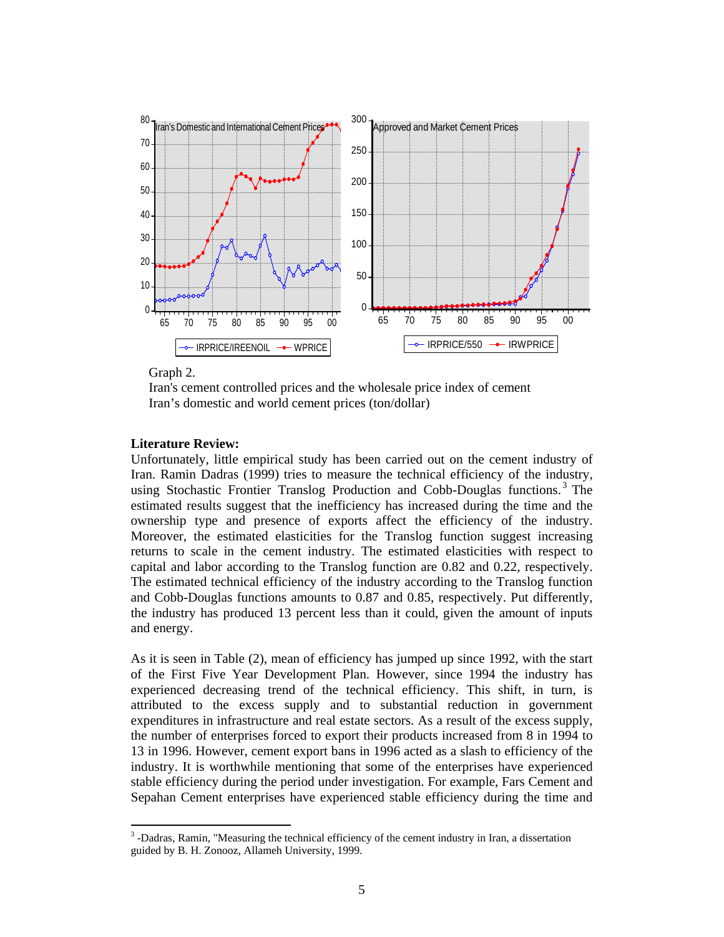

Graph 2.

 $\overline{a}$ 

Iran's cement controlled prices and the wholesale price index of cement Iran's domestic and world cement prices (ton/dollar)

### **Literature Review:**

Unfortunately, little empirical study has been carried out on the cement industry of Iran. Ramin Dadras (1999) tries to measure the technical efficiency of the industry, using Stochastic Frontier Translog Production and Cobb-Douglas functions.<sup>3</sup> The estimated results suggest that the inefficiency has increased during the time and the ownership type and presence of exports affect the efficiency of the industry. Moreover, the estimated elasticities for the Translog function suggest increasing returns to scale in the cement industry. The estimated elasticities with respect to capital and labor according to the Translog function are 0.82 and 0.22, respectively. The estimated technical efficiency of the industry according to the Translog function and Cobb-Douglas functions amounts to 0.87 and 0.85, respectively. Put differently, the industry has produced 13 percent less than it could, given the amount of inputs and energy.

As it is seen in Table (2), mean of efficiency has jumped up since 1992, with the start of the First Five Year Development Plan. However, since 1994 the industry has experienced decreasing trend of the technical efficiency. This shift, in turn, is attributed to the excess supply and to substantial reduction in government expenditures in infrastructure and real estate sectors. As a result of the excess supply, the number of enterprises forced to export their products increased from 8 in 1994 to 13 in 1996. However, cement export bans in 1996 acted as a slash to efficiency of the industry. It is worthwhile mentioning that some of the enterprises have experienced stable efficiency during the period under investigation. For example, Fars Cement and Sepahan Cement enterprises have experienced stable efficiency during the time and

<sup>&</sup>lt;sup>3</sup>-Dadras, Ramin, "Measuring the technical efficiency of the cement industry in Iran, a dissertation guided by B. H. Zonooz, Allameh University, 1999.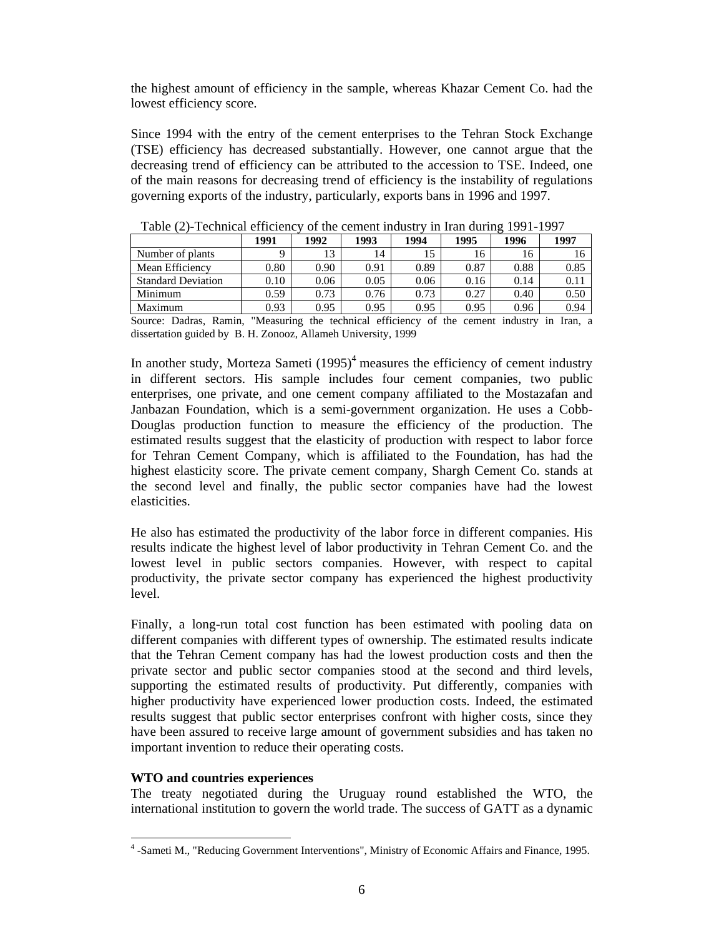the highest amount of efficiency in the sample, whereas Khazar Cement Co. had the lowest efficiency score.

Since 1994 with the entry of the cement enterprises to the Tehran Stock Exchange (TSE) efficiency has decreased substantially. However, one cannot argue that the decreasing trend of efficiency can be attributed to the accession to TSE. Indeed, one of the main reasons for decreasing trend of efficiency is the instability of regulations governing exports of the industry, particularly, exports bans in 1996 and 1997.

| Table (2) - Feeminear Chréiche V<br><u>UI UIU UUIIIUIII IIIUUSU V III IIAII UUIIIIE 1991-1997</u> |          |      |      |               |               |      |      |
|---------------------------------------------------------------------------------------------------|----------|------|------|---------------|---------------|------|------|
|                                                                                                   | 1991     | 1992 | 1993 | 1994          | 1995          | 1996 | 1997 |
| Number of plants                                                                                  |          | 13   | 14   | 15            | 16            | 16   | 16   |
| Mean Efficiency                                                                                   | 0.80     | 0.90 | 0.91 | 0.89          | 0.87          | 0.88 | 0.85 |
| <b>Standard Deviation</b>                                                                         | 0.10     | 0.06 | 0.05 | 0.06          | 0.16          | 0.14 | 0.11 |
| Minimum                                                                                           | 0.59     | 0.73 | 0.76 | 0.73          | 0.27          | 0.40 | 0.50 |
| Maximum                                                                                           | 0.93     | 0.95 | 0.95 | 0.95          | 0.95          | 0.96 | 0.94 |
| $\sim$<br>$\sim$ $\sim$<br>$\sim$                                                                 | $\cdots$ | .    |      | $\sim$ $\sim$ | $\sim$ $\sim$ |      | .    |

Table (2)-Technical efficiency of the cement industry in Iran during 1991-1997

Source: Dadras, Ramin, "Measuring the technical efficiency of the cement industry in Iran, a dissertation guided by B. H. Zonooz, Allameh University, 1999

In another study, Morteza Sameti  $(1995)^4$  measures the efficiency of cement industry in different sectors. His sample includes four cement companies, two public enterprises, one private, and one cement company affiliated to the Mostazafan and Janbazan Foundation, which is a semi-government organization. He uses a Cobb-Douglas production function to measure the efficiency of the production. The estimated results suggest that the elasticity of production with respect to labor force for Tehran Cement Company, which is affiliated to the Foundation, has had the highest elasticity score. The private cement company, Shargh Cement Co. stands at the second level and finally, the public sector companies have had the lowest elasticities.

He also has estimated the productivity of the labor force in different companies. His results indicate the highest level of labor productivity in Tehran Cement Co. and the lowest level in public sectors companies. However, with respect to capital productivity, the private sector company has experienced the highest productivity level.

Finally, a long-run total cost function has been estimated with pooling data on different companies with different types of ownership. The estimated results indicate that the Tehran Cement company has had the lowest production costs and then the private sector and public sector companies stood at the second and third levels, supporting the estimated results of productivity. Put differently, companies with higher productivity have experienced lower production costs. Indeed, the estimated results suggest that public sector enterprises confront with higher costs, since they have been assured to receive large amount of government subsidies and has taken no important invention to reduce their operating costs.

# **WTO and countries experiences**

 $\overline{a}$ 

The treaty negotiated during the Uruguay round established the WTO, the international institution to govern the world trade. The success of GATT as a dynamic

<sup>&</sup>lt;sup>4</sup>-Sameti M., "Reducing Government Interventions", Ministry of Economic Affairs and Finance, 1995.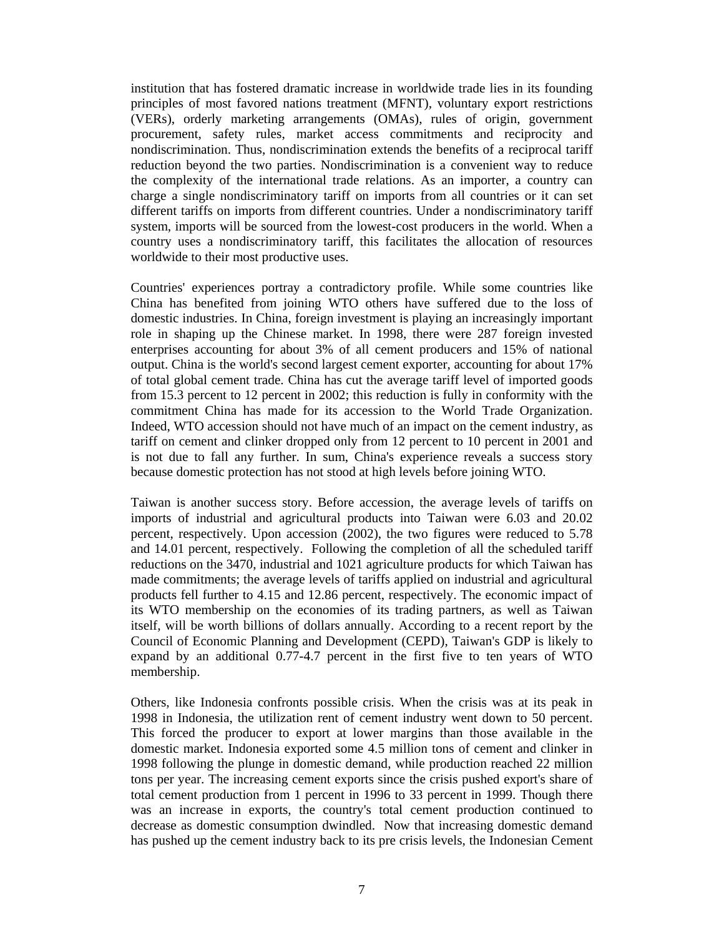institution that has fostered dramatic increase in worldwide trade lies in its founding principles of most favored nations treatment (MFNT), voluntary export restrictions (VERs), orderly marketing arrangements (OMAs), rules of origin, government procurement, safety rules, market access commitments and reciprocity and nondiscrimination. Thus, nondiscrimination extends the benefits of a reciprocal tariff reduction beyond the two parties. Nondiscrimination is a convenient way to reduce the complexity of the international trade relations. As an importer, a country can charge a single nondiscriminatory tariff on imports from all countries or it can set different tariffs on imports from different countries. Under a nondiscriminatory tariff system, imports will be sourced from the lowest-cost producers in the world. When a country uses a nondiscriminatory tariff, this facilitates the allocation of resources worldwide to their most productive uses.

Countries' experiences portray a contradictory profile. While some countries like China has benefited from joining WTO others have suffered due to the loss of domestic industries. In China, foreign investment is playing an increasingly important role in shaping up the Chinese market. In 1998, there were 287 foreign invested enterprises accounting for about 3% of all cement producers and 15% of national output. China is the world's second largest cement exporter, accounting for about 17% of total global cement trade. China has cut the average tariff level of imported goods from 15.3 percent to 12 percent in 2002; this reduction is fully in conformity with the commitment China has made for its accession to the World Trade Organization. Indeed, WTO accession should not have much of an impact on the cement industry, as tariff on cement and clinker dropped only from 12 percent to 10 percent in 2001 and is not due to fall any further. In sum, China's experience reveals a success story because domestic protection has not stood at high levels before joining WTO.

Taiwan is another success story. Before accession, the average levels of tariffs on imports of industrial and agricultural products into Taiwan were 6.03 and 20.02 percent, respectively. Upon accession (2002), the two figures were reduced to 5.78 and 14.01 percent, respectively. Following the completion of all the scheduled tariff reductions on the 3470, industrial and 1021 agriculture products for which Taiwan has made commitments; the average levels of tariffs applied on industrial and agricultural products fell further to 4.15 and 12.86 percent, respectively. The economic impact of its WTO membership on the economies of its trading partners, as well as Taiwan itself, will be worth billions of dollars annually. According to a recent report by the Council of Economic Planning and Development (CEPD), Taiwan's GDP is likely to expand by an additional 0.77-4.7 percent in the first five to ten years of WTO membership.

Others, like Indonesia confronts possible crisis. When the crisis was at its peak in 1998 in Indonesia, the utilization rent of cement industry went down to 50 percent. This forced the producer to export at lower margins than those available in the domestic market. Indonesia exported some 4.5 million tons of cement and clinker in 1998 following the plunge in domestic demand, while production reached 22 million tons per year. The increasing cement exports since the crisis pushed export's share of total cement production from 1 percent in 1996 to 33 percent in 1999. Though there was an increase in exports, the country's total cement production continued to decrease as domestic consumption dwindled. Now that increasing domestic demand has pushed up the cement industry back to its pre crisis levels, the Indonesian Cement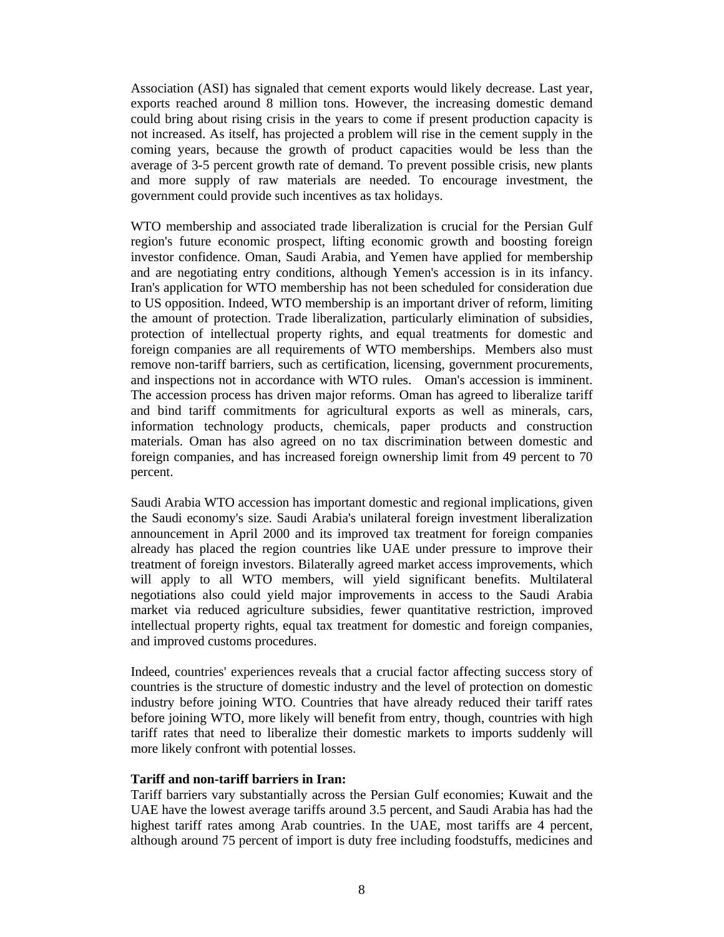Association (ASI) has signaled that cement exports would likely decrease. Last year, exports reached around 8 million tons. However, the increasing domestic demand could bring about rising crisis in the years to come if present production capacity is not increased. As itself, has projected a problem will rise in the cement supply in the coming years, because the growth of product capacities would be less than the average of 3-5 percent growth rate of demand. To prevent possible crisis, new plants and more supply of raw materials are needed. To encourage investment, the government could provide such incentives as tax holidays.

WTO membership and associated trade liberalization is crucial for the Persian Gulf region's future economic prospect, lifting economic growth and boosting foreign investor confidence. Oman, Saudi Arabia, and Yemen have applied for membership and are negotiating entry conditions, although Yemen's accession is in its infancy. Iran's application for WTO membership has not been scheduled for consideration due to US opposition. Indeed, WTO membership is an important driver of reform, limiting the amount of protection. Trade liberalization, particularly elimination of subsidies, protection of intellectual property rights, and equal treatments for domestic and foreign companies are all requirements of WTO memberships. Members also must remove non-tariff barriers, such as certification, licensing, government procurements, and inspections not in accordance with WTO rules. Oman's accession is imminent. The accession process has driven major reforms. Oman has agreed to liberalize tariff and bind tariff commitments for agricultural exports as well as minerals, cars, information technology products, chemicals, paper products and construction materials. Oman has also agreed on no tax discrimination between domestic and foreign companies, and has increased foreign ownership limit from 49 percent to 70 percent.

Saudi Arabia WTO accession has important domestic and regional implications, given the Saudi economy's size. Saudi Arabia's unilateral foreign investment liberalization announcement in April 2000 and its improved tax treatment for foreign companies already has placed the region countries like UAE under pressure to improve their treatment of foreign investors. Bilaterally agreed market access improvements, which will apply to all WTO members, will yield significant benefits. Multilateral negotiations also could yield major improvements in access to the Saudi Arabia market via reduced agriculture subsidies, fewer quantitative restriction, improved intellectual property rights, equal tax treatment for domestic and foreign companies, and improved customs procedures.

Indeed, countries' experiences reveals that a crucial factor affecting success story of countries is the structure of domestic industry and the level of protection on domestic industry before joining WTO. Countries that have already reduced their tariff rates before joining WTO, more likely will benefit from entry, though, countries with high tariff rates that need to liberalize their domestic markets to imports suddenly will more likely confront with potential losses.

## **Tariff and non-tariff barriers in Iran:**

Tariff barriers vary substantially across the Persian Gulf economies; Kuwait and the UAE have the lowest average tariffs around 3.5 percent, and Saudi Arabia has had the highest tariff rates among Arab countries. In the UAE, most tariffs are 4 percent, although around 75 percent of import is duty free including foodstuffs, medicines and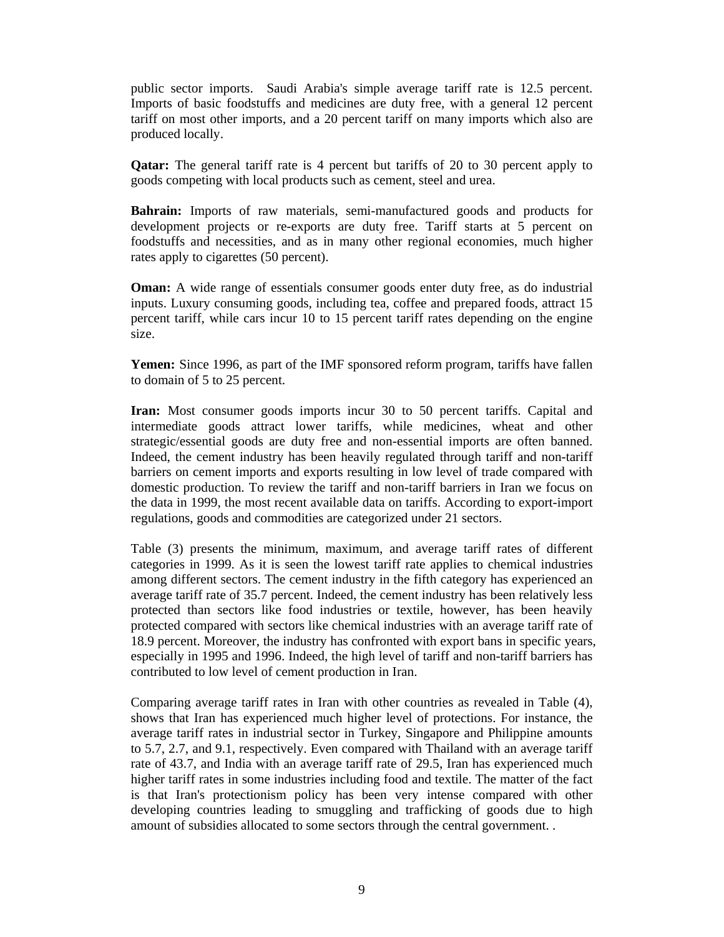public sector imports. Saudi Arabia's simple average tariff rate is 12.5 percent. Imports of basic foodstuffs and medicines are duty free, with a general 12 percent tariff on most other imports, and a 20 percent tariff on many imports which also are produced locally.

**Qatar:** The general tariff rate is 4 percent but tariffs of 20 to 30 percent apply to goods competing with local products such as cement, steel and urea.

**Bahrain:** Imports of raw materials, semi-manufactured goods and products for development projects or re-exports are duty free. Tariff starts at 5 percent on foodstuffs and necessities, and as in many other regional economies, much higher rates apply to cigarettes (50 percent).

**Oman:** A wide range of essentials consumer goods enter duty free, as do industrial inputs. Luxury consuming goods, including tea, coffee and prepared foods, attract 15 percent tariff, while cars incur 10 to 15 percent tariff rates depending on the engine size.

**Yemen:** Since 1996, as part of the IMF sponsored reform program, tariffs have fallen to domain of 5 to 25 percent.

**Iran:** Most consumer goods imports incur 30 to 50 percent tariffs. Capital and intermediate goods attract lower tariffs, while medicines, wheat and other strategic/essential goods are duty free and non-essential imports are often banned. Indeed, the cement industry has been heavily regulated through tariff and non-tariff barriers on cement imports and exports resulting in low level of trade compared with domestic production. To review the tariff and non-tariff barriers in Iran we focus on the data in 1999, the most recent available data on tariffs. According to export-import regulations, goods and commodities are categorized under 21 sectors.

Table (3) presents the minimum, maximum, and average tariff rates of different categories in 1999. As it is seen the lowest tariff rate applies to chemical industries among different sectors. The cement industry in the fifth category has experienced an average tariff rate of 35.7 percent. Indeed, the cement industry has been relatively less protected than sectors like food industries or textile, however, has been heavily protected compared with sectors like chemical industries with an average tariff rate of 18.9 percent. Moreover, the industry has confronted with export bans in specific years, especially in 1995 and 1996. Indeed, the high level of tariff and non-tariff barriers has contributed to low level of cement production in Iran.

Comparing average tariff rates in Iran with other countries as revealed in Table (4), shows that Iran has experienced much higher level of protections. For instance, the average tariff rates in industrial sector in Turkey, Singapore and Philippine amounts to 5.7, 2.7, and 9.1, respectively. Even compared with Thailand with an average tariff rate of 43.7, and India with an average tariff rate of 29.5, Iran has experienced much higher tariff rates in some industries including food and textile. The matter of the fact is that Iran's protectionism policy has been very intense compared with other developing countries leading to smuggling and trafficking of goods due to high amount of subsidies allocated to some sectors through the central government. .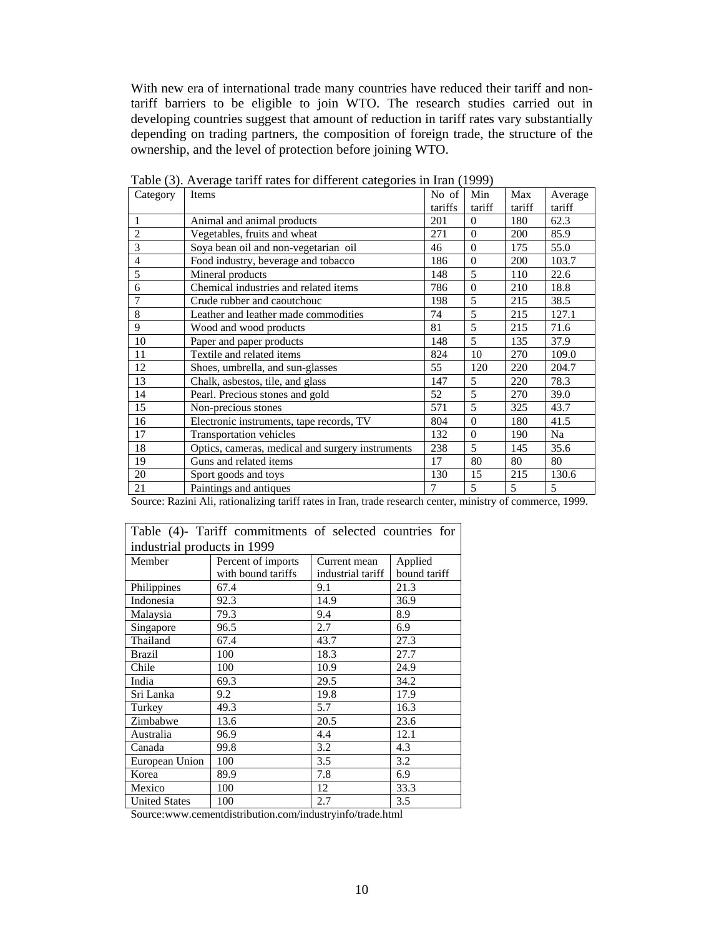With new era of international trade many countries have reduced their tariff and nontariff barriers to be eligible to join WTO. The research studies carried out in developing countries suggest that amount of reduction in tariff rates vary substantially depending on trading partners, the composition of foreign trade, the structure of the ownership, and the level of protection before joining WTO.

| $\sqrt{2}$     |                                                  |         |                |        |         |
|----------------|--------------------------------------------------|---------|----------------|--------|---------|
| Category       | Items                                            | No of   | Min            | Max    | Average |
|                |                                                  | tariffs | tariff         | tariff | tariff  |
| 1              | Animal and animal products                       | 201     | $\Omega$       | 180    | 62.3    |
| $\overline{c}$ | Vegetables, fruits and wheat                     | 271     | $\Omega$       | 200    | 85.9    |
| $\overline{3}$ | Soya bean oil and non-vegetarian oil             | 46      | $\overline{0}$ | 175    | 55.0    |
| $\overline{4}$ | Food industry, beverage and tobacco              | 186     | $\Omega$       | 200    | 103.7   |
| 5              | Mineral products                                 | 148     | 5              | 110    | 22.6    |
| 6              | Chemical industries and related items            | 786     | $\Omega$       | 210    | 18.8    |
| 7              | Crude rubber and caoutchouc                      | 198     | 5              | 215    | 38.5    |
| 8              | Leather and leather made commodities             | 74      | 5              | 215    | 127.1   |
| 9              | Wood and wood products                           | 81      | 5              | 215    | 71.6    |
| 10             | Paper and paper products                         | 148     | 5              | 135    | 37.9    |
| 11             | Textile and related items                        | 824     | 10             | 270    | 109.0   |
| 12             | Shoes, umbrella, and sun-glasses                 | 55      | 120            | 220    | 204.7   |
| 13             | Chalk, asbestos, tile, and glass                 | 147     | 5              | 220    | 78.3    |
| 14             | Pearl. Precious stones and gold                  | 52      | 5              | 270    | 39.0    |
| 15             | Non-precious stones                              | 571     | 5              | 325    | 43.7    |
| 16             | Electronic instruments, tape records, TV         | 804     | $\mathbf{0}$   | 180    | 41.5    |
| 17             | Transportation vehicles                          | 132     | $\Omega$       | 190    | Na      |
| 18             | Optics, cameras, medical and surgery instruments | 238     | 5              | 145    | 35.6    |
| 19             | Guns and related items                           | 17      | 80             | 80     | 80      |
| 20             | Sport goods and toys                             | 130     | 15             | 215    | 130.6   |
| 21             | Paintings and antiques                           | 7       | 5              | 5      | 5       |

Table (3). Average tariff rates for different categories in Iran (1999)

Source: Razini Ali, rationalizing tariff rates in Iran, trade research center, ministry of commerce, 1999.

|                             | Table (4)- Tariff commitments of selected countries for |                   |              |  |  |  |  |
|-----------------------------|---------------------------------------------------------|-------------------|--------------|--|--|--|--|
| industrial products in 1999 |                                                         |                   |              |  |  |  |  |
| Member                      | Percent of imports                                      | Current mean      | Applied      |  |  |  |  |
|                             | with bound tariffs                                      | industrial tariff | bound tariff |  |  |  |  |
| Philippines                 | 67.4                                                    | 9.1               | 21.3         |  |  |  |  |
| Indonesia                   | 92.3                                                    | 14.9              | 36.9         |  |  |  |  |
| Malaysia                    | 79.3                                                    | 9.4               | 8.9          |  |  |  |  |
| Singapore                   | 96.5                                                    | 2.7               | 6.9          |  |  |  |  |
| Thailand                    | 67.4                                                    | 43.7              | 27.3         |  |  |  |  |
| <b>Brazil</b>               | 100                                                     | 18.3              | 27.7         |  |  |  |  |
| Chile                       | 100                                                     | 10.9              | 24.9         |  |  |  |  |
| India                       | 69.3                                                    | 29.5              | 34.2         |  |  |  |  |
| Sri Lanka                   | 9.2                                                     | 19.8              | 17.9         |  |  |  |  |
| Turkey                      | 49.3                                                    | 5.7               | 16.3         |  |  |  |  |
| Zimbabwe                    | 13.6                                                    | 20.5              | 23.6         |  |  |  |  |
| Australia                   | 96.9                                                    | 4.4               | 12.1         |  |  |  |  |
| Canada                      | 99.8                                                    | 3.2               | 4.3          |  |  |  |  |
| European Union              | 100                                                     | 3.5               | 3.2          |  |  |  |  |
| Korea                       | 89.9                                                    | 7.8               | 6.9          |  |  |  |  |
| Mexico                      | 100                                                     | 12                | 33.3         |  |  |  |  |
| <b>United States</b>        | 100                                                     | 2.7               | 3.5          |  |  |  |  |

Source:www.cementdistribution.com/industryinfo/trade.html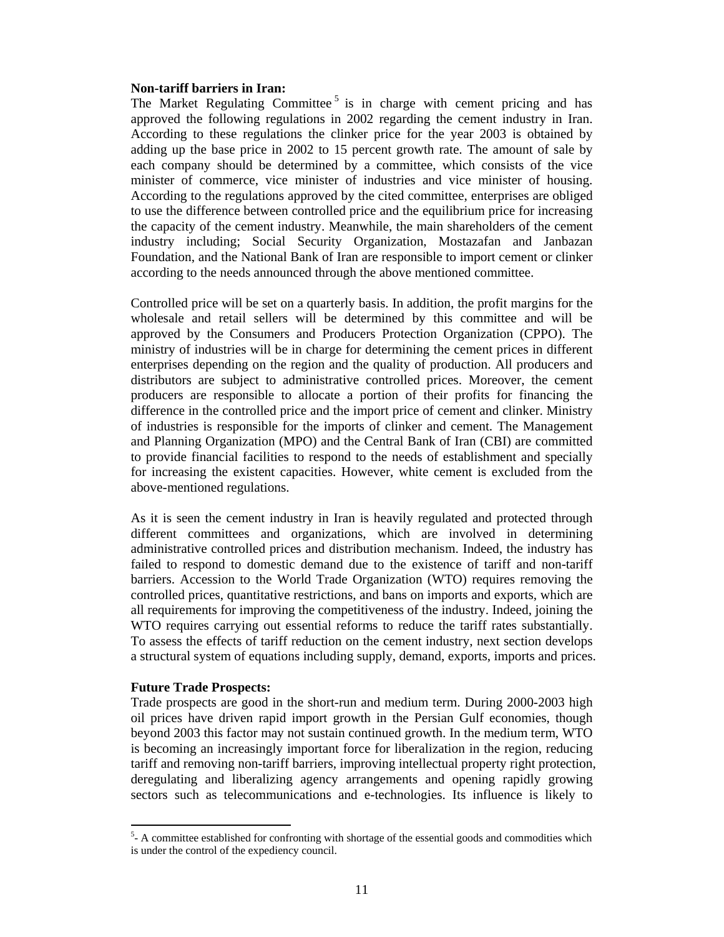### **Non-tariff barriers in Iran:**

The Market Regulating Committee<sup>5</sup> is in charge with cement pricing and has approved the following regulations in 2002 regarding the cement industry in Iran. According to these regulations the clinker price for the year 2003 is obtained by adding up the base price in 2002 to 15 percent growth rate. The amount of sale by each company should be determined by a committee, which consists of the vice minister of commerce, vice minister of industries and vice minister of housing. According to the regulations approved by the cited committee, enterprises are obliged to use the difference between controlled price and the equilibrium price for increasing the capacity of the cement industry. Meanwhile, the main shareholders of the cement industry including; Social Security Organization, Mostazafan and Janbazan Foundation, and the National Bank of Iran are responsible to import cement or clinker according to the needs announced through the above mentioned committee.

Controlled price will be set on a quarterly basis. In addition, the profit margins for the wholesale and retail sellers will be determined by this committee and will be approved by the Consumers and Producers Protection Organization (CPPO). The ministry of industries will be in charge for determining the cement prices in different enterprises depending on the region and the quality of production. All producers and distributors are subject to administrative controlled prices. Moreover, the cement producers are responsible to allocate a portion of their profits for financing the difference in the controlled price and the import price of cement and clinker. Ministry of industries is responsible for the imports of clinker and cement. The Management and Planning Organization (MPO) and the Central Bank of Iran (CBI) are committed to provide financial facilities to respond to the needs of establishment and specially for increasing the existent capacities. However, white cement is excluded from the above-mentioned regulations.

As it is seen the cement industry in Iran is heavily regulated and protected through different committees and organizations, which are involved in determining administrative controlled prices and distribution mechanism. Indeed, the industry has failed to respond to domestic demand due to the existence of tariff and non-tariff barriers. Accession to the World Trade Organization (WTO) requires removing the controlled prices, quantitative restrictions, and bans on imports and exports, which are all requirements for improving the competitiveness of the industry. Indeed, joining the WTO requires carrying out essential reforms to reduce the tariff rates substantially. To assess the effects of tariff reduction on the cement industry, next section develops a structural system of equations including supply, demand, exports, imports and prices.

## **Future Trade Prospects:**

 $\overline{a}$ 

Trade prospects are good in the short-run and medium term. During 2000-2003 high oil prices have driven rapid import growth in the Persian Gulf economies, though beyond 2003 this factor may not sustain continued growth. In the medium term, WTO is becoming an increasingly important force for liberalization in the region, reducing tariff and removing non-tariff barriers, improving intellectual property right protection, deregulating and liberalizing agency arrangements and opening rapidly growing sectors such as telecommunications and e-technologies. Its influence is likely to

 $5 - A$  committee established for confronting with shortage of the essential goods and commodities which is under the control of the expediency council.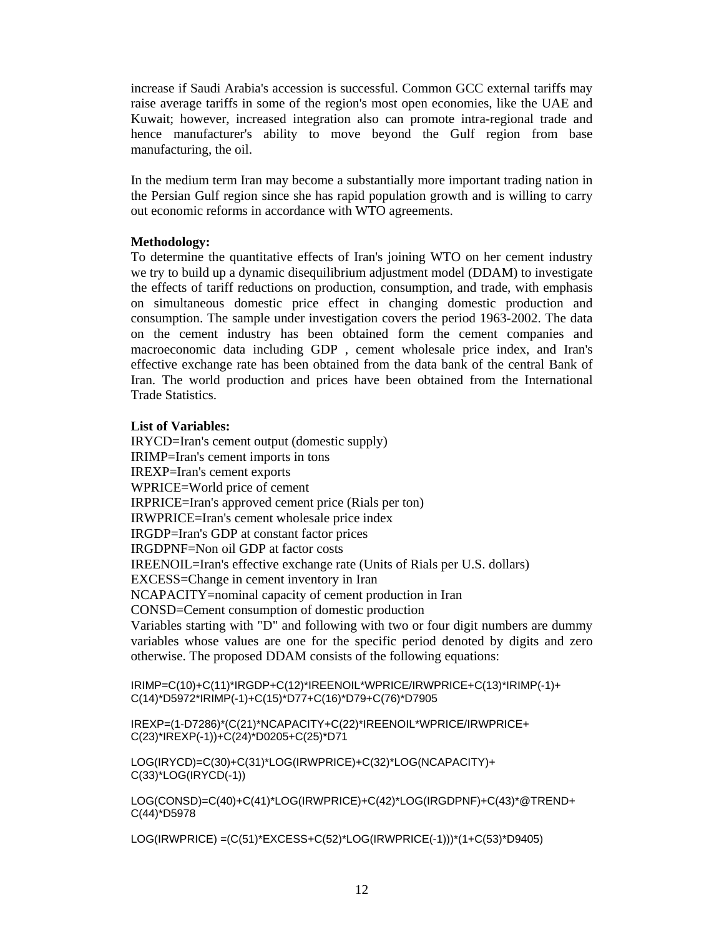increase if Saudi Arabia's accession is successful. Common GCC external tariffs may raise average tariffs in some of the region's most open economies, like the UAE and Kuwait; however, increased integration also can promote intra-regional trade and hence manufacturer's ability to move beyond the Gulf region from base manufacturing, the oil.

In the medium term Iran may become a substantially more important trading nation in the Persian Gulf region since she has rapid population growth and is willing to carry out economic reforms in accordance with WTO agreements.

# **Methodology:**

To determine the quantitative effects of Iran's joining WTO on her cement industry we try to build up a dynamic disequilibrium adjustment model (DDAM) to investigate the effects of tariff reductions on production, consumption, and trade, with emphasis on simultaneous domestic price effect in changing domestic production and consumption. The sample under investigation covers the period 1963-2002. The data on the cement industry has been obtained form the cement companies and macroeconomic data including GDP , cement wholesale price index, and Iran's effective exchange rate has been obtained from the data bank of the central Bank of Iran. The world production and prices have been obtained from the International Trade Statistics.

# **List of Variables:**

IRYCD=Iran's cement output (domestic supply) IRIMP=Iran's cement imports in tons IREXP=Iran's cement exports WPRICE=World price of cement IRPRICE=Iran's approved cement price (Rials per ton) IRWPRICE=Iran's cement wholesale price index IRGDP=Iran's GDP at constant factor prices IRGDPNF=Non oil GDP at factor costs IREENOIL=Iran's effective exchange rate (Units of Rials per U.S. dollars) EXCESS=Change in cement inventory in Iran NCAPACITY=nominal capacity of cement production in Iran CONSD=Cement consumption of domestic production Variables starting with "D" and following with two or four digit numbers are dummy variables whose values are one for the specific period denoted by digits and zero otherwise. The proposed DDAM consists of the following equations:

```
IRIMP=C(10)+C(11)*IRGDP+C(12)*IREENOIL*WPRICE/IRWPRICE+C(13)*IRIMP(-1)+ 
C(14)*D5972*IRIMP(-1)+C(15)*D77+C(16)*D79+C(76)*D7905
```
IREXP=(1-D7286)\*(C(21)\*NCAPACITY+C(22)\*IREENOIL\*WPRICE/IRWPRICE+ C(23)\*IREXP(-1))+C(24)\*D0205+C(25)\*D71

LOG(IRYCD)=C(30)+C(31)\*LOG(IRWPRICE)+C(32)\*LOG(NCAPACITY)+ C(33)\*LOG(IRYCD(-1))

LOG(CONSD)=C(40)+C(41)\*LOG(IRWPRICE)+C(42)\*LOG(IRGDPNF)+C(43)\*@TREND+ C(44)\*D5978

LOG(IRWPRICE) =(C(51)\*EXCESS+C(52)\*LOG(IRWPRICE(-1)))\*(1+C(53)\*D9405)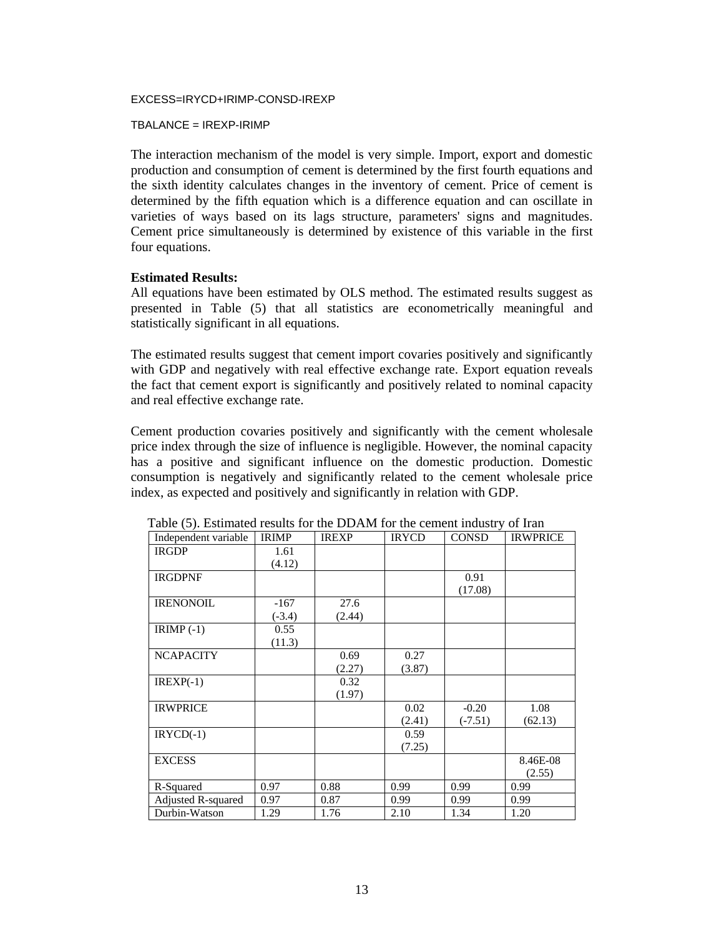#### EXCESS=IRYCD+IRIMP-CONSD-IREXP

#### TBALANCE = IREXP-IRIMP

The interaction mechanism of the model is very simple. Import, export and domestic production and consumption of cement is determined by the first fourth equations and the sixth identity calculates changes in the inventory of cement. Price of cement is determined by the fifth equation which is a difference equation and can oscillate in varieties of ways based on its lags structure, parameters' signs and magnitudes. Cement price simultaneously is determined by existence of this variable in the first four equations.

### **Estimated Results:**

All equations have been estimated by OLS method. The estimated results suggest as presented in Table (5) that all statistics are econometrically meaningful and statistically significant in all equations.

The estimated results suggest that cement import covaries positively and significantly with GDP and negatively with real effective exchange rate. Export equation reveals the fact that cement export is significantly and positively related to nominal capacity and real effective exchange rate.

Cement production covaries positively and significantly with the cement wholesale price index through the size of influence is negligible. However, the nominal capacity has a positive and significant influence on the domestic production. Domestic consumption is negatively and significantly related to the cement wholesale price index, as expected and positively and significantly in relation with GDP.

| Independent variable | <b>IRIMP</b> | <b>IREXP</b> | <b>IRYCD</b> | <b>CONSD</b> | <b>IRWPRICE</b> |
|----------------------|--------------|--------------|--------------|--------------|-----------------|
| <b>IRGDP</b>         | 1.61         |              |              |              |                 |
|                      | (4.12)       |              |              |              |                 |
| <b>IRGDPNF</b>       |              |              |              | 0.91         |                 |
|                      |              |              |              | (17.08)      |                 |
| <b>IRENONOIL</b>     | $-167$       | 27.6         |              |              |                 |
|                      | $(-3.4)$     | (2.44)       |              |              |                 |
| $IRIMP(-1)$          | 0.55         |              |              |              |                 |
|                      | (11.3)       |              |              |              |                 |
| <b>NCAPACITY</b>     |              | 0.69         | 0.27         |              |                 |
|                      |              | (2.27)       | (3.87)       |              |                 |
| $IREXP(-1)$          |              | 0.32         |              |              |                 |
|                      |              | (1.97)       |              |              |                 |
| <b>IRWPRICE</b>      |              |              | 0.02         | $-0.20$      | 1.08            |
|                      |              |              | (2.41)       | $(-7.51)$    | (62.13)         |
| $IRYCD(-1)$          |              |              | 0.59         |              |                 |
|                      |              |              | (7.25)       |              |                 |
| <b>EXCESS</b>        |              |              |              |              | 8.46E-08        |
|                      |              |              |              |              | (2.55)          |
| R-Squared            | 0.97         | 0.88         | 0.99         | 0.99         | 0.99            |
| Adjusted R-squared   | 0.97         | 0.87         | 0.99         | 0.99         | 0.99            |
| Durbin-Watson        | 1.29         | 1.76         | 2.10         | 1.34         | 1.20            |

Table (5). Estimated results for the DDAM for the cement industry of Iran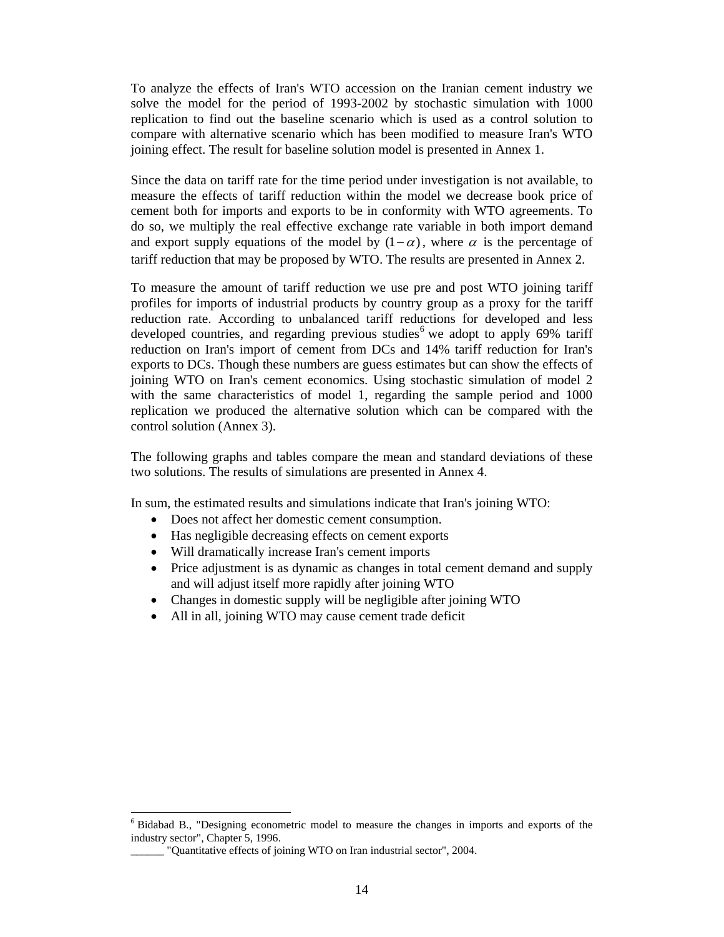To analyze the effects of Iran's WTO accession on the Iranian cement industry we solve the model for the period of 1993-2002 by stochastic simulation with 1000 replication to find out the baseline scenario which is used as a control solution to compare with alternative scenario which has been modified to measure Iran's WTO joining effect. The result for baseline solution model is presented in Annex 1.

Since the data on tariff rate for the time period under investigation is not available, to measure the effects of tariff reduction within the model we decrease book price of cement both for imports and exports to be in conformity with WTO agreements. To do so, we multiply the real effective exchange rate variable in both import demand and export supply equations of the model by  $(1-\alpha)$ , where  $\alpha$  is the percentage of tariff reduction that may be proposed by WTO. The results are presented in Annex 2.

To measure the amount of tariff reduction we use pre and post WTO joining tariff profiles for imports of industrial products by country group as a proxy for the tariff reduction rate. According to unbalanced tariff reductions for developed and less developed countries, and regarding previous studies<sup>6</sup> we adopt to apply 69% tariff reduction on Iran's import of cement from DCs and 14% tariff reduction for Iran's exports to DCs. Though these numbers are guess estimates but can show the effects of joining WTO on Iran's cement economics. Using stochastic simulation of model 2 with the same characteristics of model 1, regarding the sample period and 1000 replication we produced the alternative solution which can be compared with the control solution (Annex 3).

The following graphs and tables compare the mean and standard deviations of these two solutions. The results of simulations are presented in Annex 4.

In sum, the estimated results and simulations indicate that Iran's joining WTO:

- Does not affect her domestic cement consumption.
- Has negligible decreasing effects on cement exports
- Will dramatically increase Iran's cement imports
- Price adjustment is as dynamic as changes in total cement demand and supply and will adjust itself more rapidly after joining WTO
- Changes in domestic supply will be negligible after joining WTO
- All in all, joining WTO may cause cement trade deficit

<sup>&</sup>lt;sup>6</sup> Bidabad B., "Designing econometric model to measure the changes in imports and exports of the industry sector", Chapter 5, 1996.

\_\_\_\_\_\_ "Quantitative effects of joining WTO on Iran industrial sector", 2004.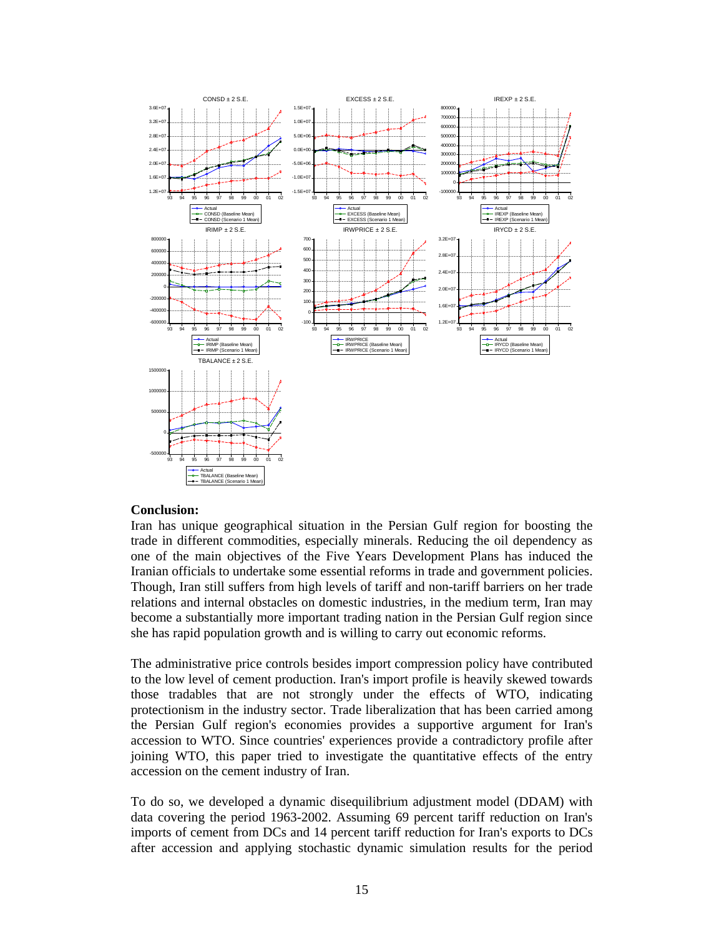

## **Conclusion:**

Iran has unique geographical situation in the Persian Gulf region for boosting the trade in different commodities, especially minerals. Reducing the oil dependency as one of the main objectives of the Five Years Development Plans has induced the Iranian officials to undertake some essential reforms in trade and government policies. Though, Iran still suffers from high levels of tariff and non-tariff barriers on her trade relations and internal obstacles on domestic industries, in the medium term, Iran may become a substantially more important trading nation in the Persian Gulf region since she has rapid population growth and is willing to carry out economic reforms.

The administrative price controls besides import compression policy have contributed to the low level of cement production. Iran's import profile is heavily skewed towards those tradables that are not strongly under the effects of WTO, indicating protectionism in the industry sector. Trade liberalization that has been carried among the Persian Gulf region's economies provides a supportive argument for Iran's accession to WTO. Since countries' experiences provide a contradictory profile after joining WTO, this paper tried to investigate the quantitative effects of the entry accession on the cement industry of Iran.

To do so, we developed a dynamic disequilibrium adjustment model (DDAM) with data covering the period 1963-2002. Assuming 69 percent tariff reduction on Iran's imports of cement from DCs and 14 percent tariff reduction for Iran's exports to DCs after accession and applying stochastic dynamic simulation results for the period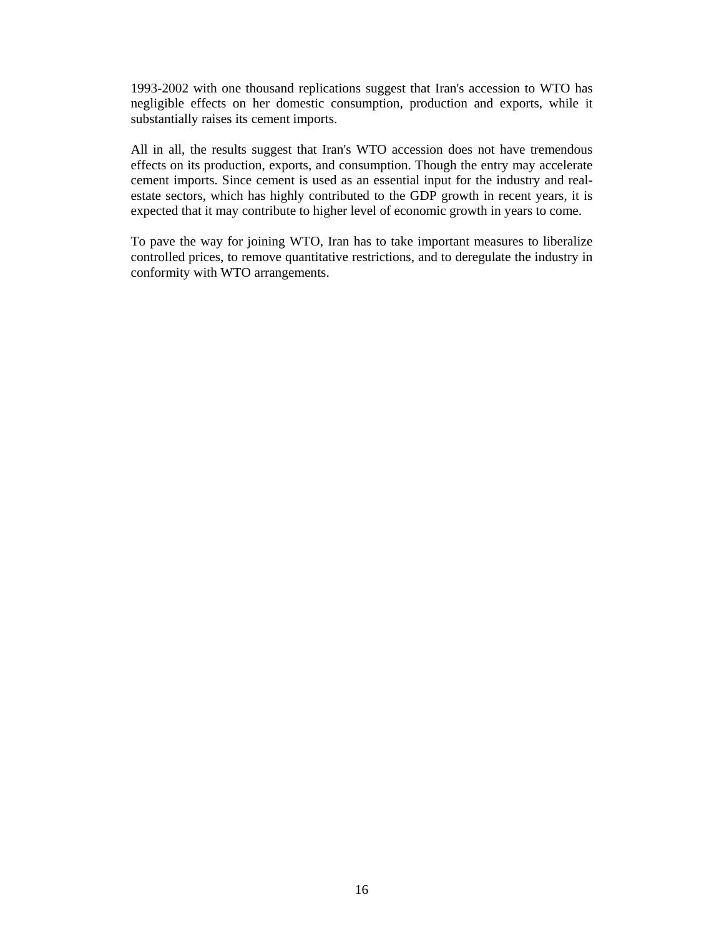1993-2002 with one thousand replications suggest that Iran's accession to WTO has negligible effects on her domestic consumption, production and exports, while it substantially raises its cement imports.

All in all, the results suggest that Iran's WTO accession does not have tremendous effects on its production, exports, and consumption. Though the entry may accelerate cement imports. Since cement is used as an essential input for the industry and realestate sectors, which has highly contributed to the GDP growth in recent years, it is expected that it may contribute to higher level of economic growth in years to come.

To pave the way for joining WTO, Iran has to take important measures to liberalize controlled prices, to remove quantitative restrictions, and to deregulate the industry in conformity with WTO arrangements.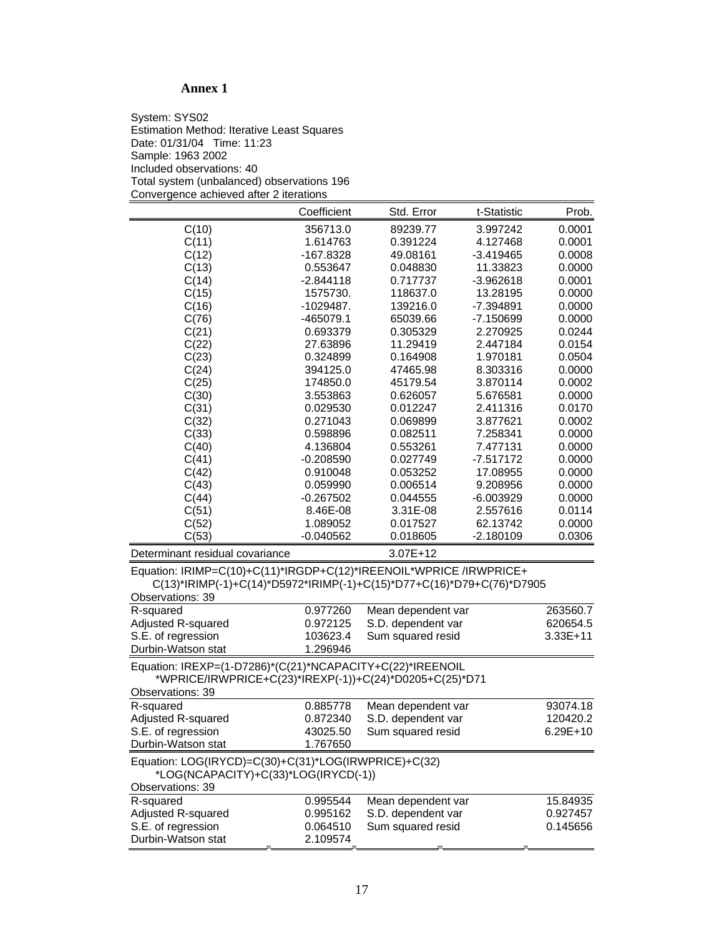# **Annex 1**

System: SYS02 Estimation Method: Iterative Least Squares Date: 01/31/04 Time: 11:23 Sample: 1963 2002 Included observations: 40 Total system (unbalanced) observations 196 Convergence achieved after 2 iterations

|                                                                       | Coefficient | Std. Error<br>t-Statistic                                          | Prob.    |  |  |
|-----------------------------------------------------------------------|-------------|--------------------------------------------------------------------|----------|--|--|
| C(10)                                                                 | 356713.0    | 89239.77<br>3.997242                                               | 0.0001   |  |  |
| C(11)                                                                 | 1.614763    | 0.391224<br>4.127468                                               | 0.0001   |  |  |
| C(12)                                                                 | -167.8328   | 49.08161<br>$-3.419465$                                            | 0.0008   |  |  |
| C(13)                                                                 | 0.553647    | 0.048830<br>11.33823                                               | 0.0000   |  |  |
| C(14)                                                                 | $-2.844118$ | 0.717737<br>$-3.962618$                                            | 0.0001   |  |  |
| C(15)                                                                 | 1575730.    | 118637.0<br>13.28195                                               | 0.0000   |  |  |
| C(16)                                                                 | -1029487.   | 139216.0<br>$-7.394891$                                            | 0.0000   |  |  |
| C(76)                                                                 | -465079.1   | 65039.66<br>$-7.150699$                                            | 0.0000   |  |  |
| C(21)                                                                 | 0.693379    | 2.270925<br>0.305329                                               | 0.0244   |  |  |
| C(22)                                                                 | 27.63896    | 11.29419<br>2.447184                                               | 0.0154   |  |  |
| C(23)                                                                 | 0.324899    | 0.164908<br>1.970181                                               | 0.0504   |  |  |
| C(24)                                                                 | 394125.0    | 47465.98<br>8.303316                                               | 0.0000   |  |  |
| C(25)                                                                 | 174850.0    | 45179.54<br>3.870114                                               | 0.0002   |  |  |
| C(30)                                                                 | 3.553863    | 0.626057<br>5.676581                                               | 0.0000   |  |  |
| C(31)                                                                 | 0.029530    | 0.012247<br>2.411316                                               | 0.0170   |  |  |
| C(32)                                                                 | 0.271043    | 0.069899<br>3.877621                                               | 0.0002   |  |  |
| C(33)                                                                 | 0.598896    | 0.082511<br>7.258341                                               | 0.0000   |  |  |
| C(40)                                                                 | 4.136804    | 0.553261<br>7.477131                                               | 0.0000   |  |  |
| C(41)                                                                 | $-0.208590$ | 0.027749<br>$-7.517172$                                            | 0.0000   |  |  |
| C(42)                                                                 | 0.910048    | 0.053252<br>17.08955                                               | 0.0000   |  |  |
| C(43)                                                                 | 0.059990    | 0.006514<br>9.208956                                               | 0.0000   |  |  |
| C(44)                                                                 | $-0.267502$ | 0.044555<br>$-6.003929$                                            | 0.0000   |  |  |
| C(51)                                                                 | 8.46E-08    | 3.31E-08<br>2.557616                                               | 0.0114   |  |  |
| C(52)                                                                 | 1.089052    | 0.017527<br>62.13742                                               | 0.0000   |  |  |
| C(53)                                                                 | $-0.040562$ | 0.018605<br>$-2.180109$                                            | 0.0306   |  |  |
| Determinant residual covariance                                       |             | $3.07E + 12$                                                       |          |  |  |
|                                                                       |             | Equation: IRIMP=C(10)+C(11)*IRGDP+C(12)*IREENOIL*WPRICE /IRWPRICE+ |          |  |  |
| C(13)*IRIMP(-1)+C(14)*D5972*IRIMP(-1)+C(15)*D77+C(16)*D79+C(76)*D7905 |             |                                                                    |          |  |  |
| Observations: 39                                                      |             |                                                                    |          |  |  |
| R-squared                                                             | 0.977260    | Mean dependent var                                                 | 263560.7 |  |  |

| R-squared                                                 | 0.977260 | Mean dependent var | 263560.7     |
|-----------------------------------------------------------|----------|--------------------|--------------|
| Adjusted R-squared                                        | 0.972125 | S.D. dependent var | 620654.5     |
| S.E. of regression                                        | 103623.4 | Sum squared resid  | $3.33E + 11$ |
| Durbin-Watson stat                                        | 1.296946 |                    |              |
| Equation: IREXP=(1-D7286)*(C(21)*NCAPACITY+C(22)*IREENOIL |          |                    |              |
| *WPRICE/IRWPRICE+C(23)*IREXP(-1))+C(24)*D0205+C(25)*D71   |          |                    |              |
| <b>Observations: 39</b>                                   |          |                    |              |
| R-squared                                                 | 0.885778 | Mean dependent var | 93074.18     |
| Adjusted R-squared                                        | 0.872340 | S.D. dependent var | 120420.2     |
| S.E. of regression                                        | 43025.50 | Sum squared resid  | $6.29E+10$   |
| Durbin-Watson stat                                        | 1.767650 |                    |              |
| Equation: LOG(IRYCD)=C(30)+C(31)*LOG(IRWPRICE)+C(32)      |          |                    |              |
| *LOG(NCAPACITY)+C(33)*LOG(IRYCD(-1))                      |          |                    |              |
| Observations: 39                                          |          |                    |              |
| R-squared                                                 | 0.995544 | Mean dependent var | 15.84935     |
| Adjusted R-squared                                        | 0.995162 | S.D. dependent var | 0.927457     |
| S.E. of regression                                        | 0.064510 | Sum squared resid  | 0.145656     |
| Durbin-Watson stat                                        | 2.109574 |                    |              |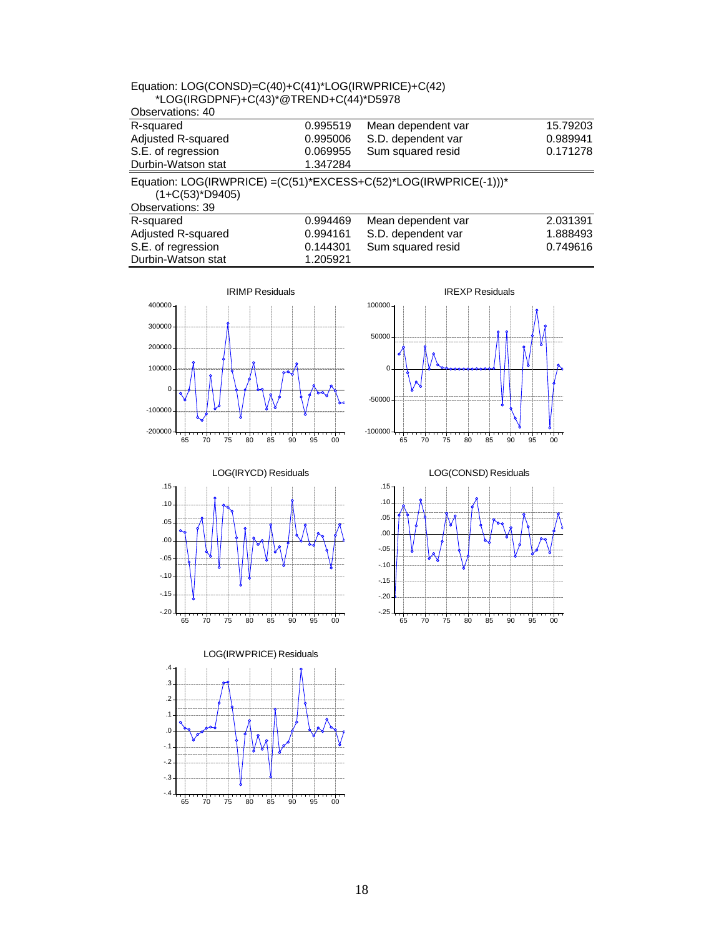| *LOG(IRGDPNF)+C(43)*@TREND+C(44)*D5978 |          |                                                                   |          |
|----------------------------------------|----------|-------------------------------------------------------------------|----------|
| Observations: 40                       |          |                                                                   |          |
| R-squared                              | 0.995519 | Mean dependent var                                                | 15.79203 |
| Adjusted R-squared                     | 0.995006 | S.D. dependent var                                                | 0.989941 |
| S.E. of regression                     | 0.069955 | Sum squared resid                                                 | 0.171278 |
| Durbin-Watson stat                     | 1.347284 |                                                                   |          |
| $(1+C(53)^*D9405)$<br>Observations: 39 |          | Equation: LOG(IRWPRICE) = (C(51)*EXCESS+C(52)*LOG(IRWPRICE(-1)))* |          |
| R-squared                              | 0.994469 | Mean dependent var                                                | 2.031391 |
| Adjusted R-squared                     | 0.994161 | S.D. dependent var                                                | 1.888493 |
| S.E. of regression                     | 0.144301 | Sum squared resid                                                 | 0.749616 |
| Durbin-Watson stat                     | 1.205921 |                                                                   |          |

Equation: LOG(CONSD)=C(40)+C(41)\*LOG(IRWPRICE)+C(42)









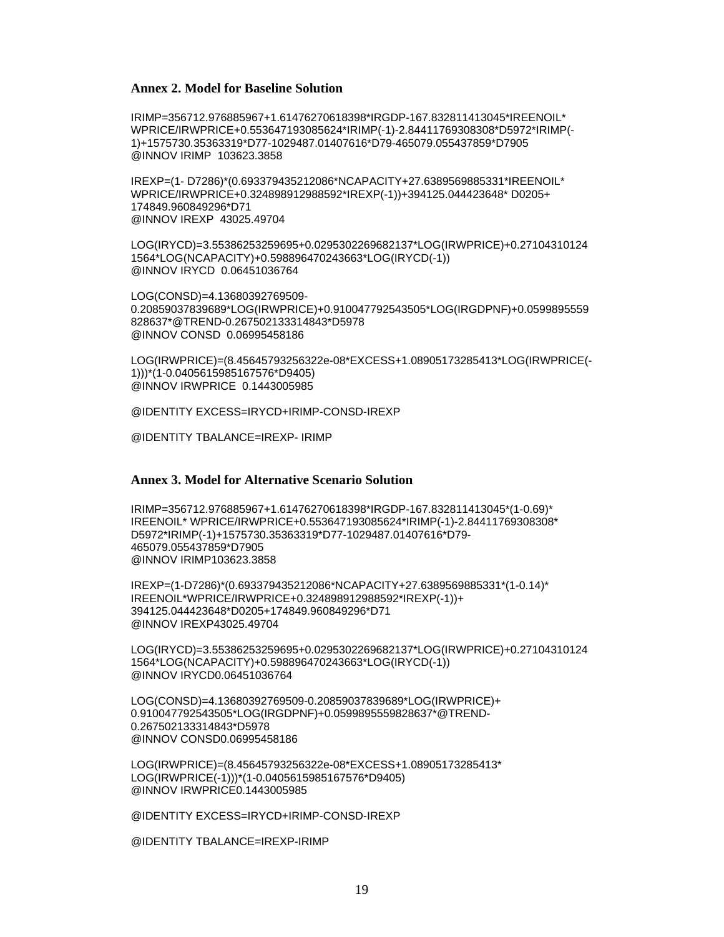### **Annex 2. Model for Baseline Solution**

IRIMP=356712.976885967+1.61476270618398\*IRGDP-167.832811413045\*IREENOIL\* WPRICE/IRWPRICE+0.553647193085624\*IRIMP(-1)-2.84411769308308\*D5972\*IRIMP(- 1)+1575730.35363319\*D77-1029487.01407616\*D79-465079.055437859\*D7905 @INNOV IRIMP 103623.3858

IREXP=(1- D7286)\*(0.693379435212086\*NCAPACITY+27.6389569885331\*IREENOIL\* WPRICE/IRWPRICE+0.324898912988592\*IREXP(-1))+394125.044423648\* D0205+ 174849.960849296\*D71 @INNOV IREXP 43025.49704

LOG(IRYCD)=3.55386253259695+0.0295302269682137\*LOG(IRWPRICE)+0.27104310124 1564\*LOG(NCAPACITY)+0.598896470243663\*LOG(IRYCD(-1)) @INNOV IRYCD 0.06451036764

LOG(CONSD)=4.13680392769509- 0.20859037839689\*LOG(IRWPRICE)+0.910047792543505\*LOG(IRGDPNF)+0.0599895559 828637\*@TREND-0.267502133314843\*D5978 @INNOV CONSD 0.06995458186

LOG(IRWPRICE)=(8.45645793256322e-08\*EXCESS+1.08905173285413\*LOG(IRWPRICE(- 1)))\*(1-0.0405615985167576\*D9405) @INNOV IRWPRICE 0.1443005985

@IDENTITY EXCESS=IRYCD+IRIMP-CONSD-IREXP

@IDENTITY TBALANCE=IREXP- IRIMP

### **Annex 3. Model for Alternative Scenario Solution**

IRIMP=356712.976885967+1.61476270618398\*IRGDP-167.832811413045\*(1-0.69)\* IREENOIL\* WPRICE/IRWPRICE+0.553647193085624\*IRIMP(-1)-2.84411769308308\* D5972\*IRIMP(-1)+1575730.35363319\*D77-1029487.01407616\*D79- 465079.055437859\*D7905 @INNOV IRIMP103623.3858

IREXP=(1-D7286)\*(0.693379435212086\*NCAPACITY+27.6389569885331\*(1-0.14)\* IREENOIL\*WPRICE/IRWPRICE+0.324898912988592\*IREXP(-1))+ 394125.044423648\*D0205+174849.960849296\*D71 @INNOV IREXP43025.49704

LOG(IRYCD)=3.55386253259695+0.0295302269682137\*LOG(IRWPRICE)+0.27104310124 1564\*LOG(NCAPACITY)+0.598896470243663\*LOG(IRYCD(-1)) @INNOV IRYCD0.06451036764

LOG(CONSD)=4.13680392769509-0.20859037839689\*LOG(IRWPRICE)+ 0.910047792543505\*LOG(IRGDPNF)+0.0599895559828637\*@TREND-0.267502133314843\*D5978 @INNOV CONSD0.06995458186

LOG(IRWPRICE)=(8.45645793256322e-08\*EXCESS+1.08905173285413\* LOG(IRWPRICE(-1)))\*(1-0.0405615985167576\*D9405) @INNOV IRWPRICE0.1443005985

@IDENTITY EXCESS=IRYCD+IRIMP-CONSD-IREXP

@IDENTITY TBALANCE=IREXP-IRIMP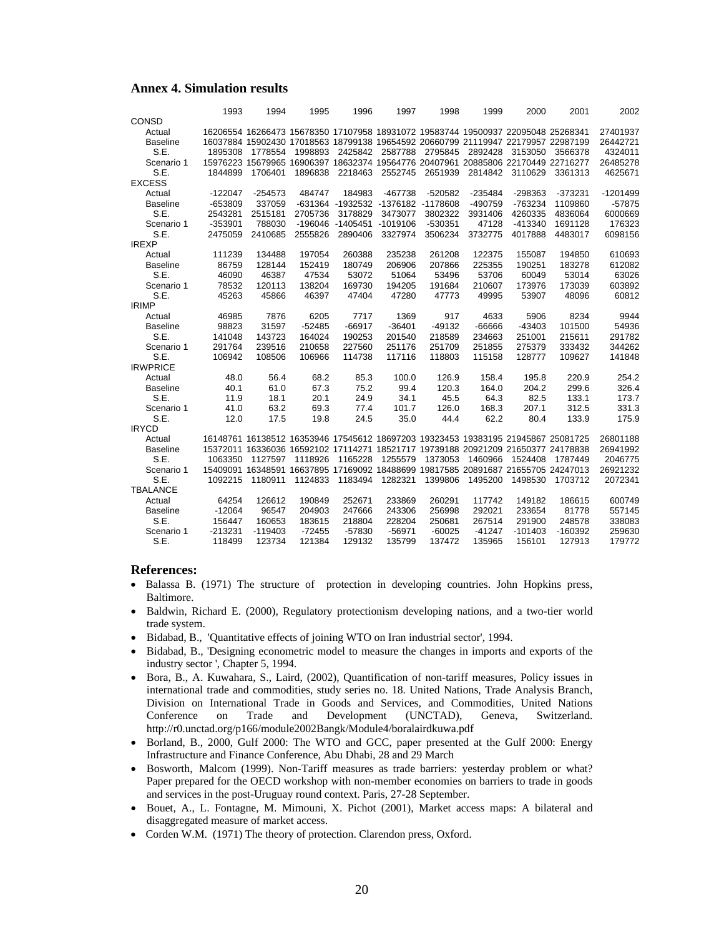#### **Annex 4. Simulation results**

|                 | 1993      | 1994      | 1995                                                                             | 1996                      | 1997                               | 1998      | 1999      | 2000      | 2001      | 2002       |
|-----------------|-----------|-----------|----------------------------------------------------------------------------------|---------------------------|------------------------------------|-----------|-----------|-----------|-----------|------------|
| CONSD           |           |           |                                                                                  |                           |                                    |           |           |           |           |            |
| Actual          |           |           | 16206554 16266473 15678350 17107958 18931072 19583744 19500937 22095048 25268341 |                           |                                    |           |           |           |           | 27401937   |
| <b>Baseline</b> |           |           | 16037884 15902430 17018563 18799138 19654592 20660799 21119947 22179957 22987199 |                           |                                    |           |           |           |           | 26442721   |
| S.E.            | 1895308   | 1778554   | 1998893                                                                          |                           | 2425842 2587788                    | 2795845   | 2892428   | 3153050   | 3566378   | 4324011    |
| Scenario 1      |           |           | 15976223 15679965 16906397 18632374 19564776 20407961 20885806 22170449 22716277 |                           |                                    |           |           |           |           | 26485278   |
| S.E.            | 1844899   | 1706401   | 1896838                                                                          | 2218463                   | 2552745                            | 2651939   | 2814842   | 3110629   | 3361313   | 4625671    |
| <b>EXCESS</b>   |           |           |                                                                                  |                           |                                    |           |           |           |           |            |
| Actual          | $-122047$ | $-254573$ | 484747                                                                           | 184983                    | -467738                            | $-520582$ | $-235484$ | -298363   | $-373231$ | $-1201499$ |
| <b>Baseline</b> | $-653809$ | 337059    |                                                                                  |                           | -631364 -1932532 -1376182 -1178608 |           | -490759   | -763234   | 1109860   | $-57875$   |
| S.E.            | 2543281   | 2515181   | 2705736                                                                          | 3178829                   | 3473077                            | 3802322   | 3931406   | 4260335   | 4836064   | 6000669    |
| Scenario 1      | $-353901$ | 788030    |                                                                                  | -196046 -1405451 -1019106 |                                    | $-530351$ | 47128     | $-413340$ | 1691128   | 176323     |
| S.E.            | 2475059   | 2410685   | 2555826                                                                          | 2890406                   | 3327974                            | 3506234   | 3732775   | 4017888   | 4483017   | 6098156    |
| <b>IREXP</b>    |           |           |                                                                                  |                           |                                    |           |           |           |           |            |
| Actual          | 111239    | 134488    | 197054                                                                           | 260388                    | 235238                             | 261208    | 122375    | 155087    | 194850    | 610693     |
| <b>Baseline</b> | 86759     | 128144    | 152419                                                                           | 180749                    | 206906                             | 207866    | 225355    | 190251    | 183278    | 612082     |
| S.E.            | 46090     | 46387     | 47534                                                                            | 53072                     | 51064                              | 53496     | 53706     | 60049     | 53014     | 63026      |
| Scenario 1      | 78532     | 120113    | 138204                                                                           | 169730                    | 194205                             | 191684    | 210607    | 173976    | 173039    | 603892     |
| S.E.            | 45263     | 45866     | 46397                                                                            | 47404                     | 47280                              | 47773     | 49995     | 53907     | 48096     | 60812      |
| <b>IRIMP</b>    |           |           |                                                                                  |                           |                                    |           |           |           |           |            |
| Actual          | 46985     | 7876      | 6205                                                                             | 7717                      | 1369                               | 917       | 4633      | 5906      | 8234      | 9944       |
| <b>Baseline</b> | 98823     | 31597     | $-52485$                                                                         | $-66917$                  | $-36401$                           | $-49132$  | -66666    | $-43403$  | 101500    | 54936      |
| S.E.            | 141048    | 143723    | 164024                                                                           | 190253                    | 201540                             | 218589    | 234663    | 251001    | 215611    | 291782     |
| Scenario 1      | 291764    | 239516    | 210658                                                                           | 227560                    | 251176                             | 251709    | 251855    | 275379    | 333432    | 344262     |
| S.E.            | 106942    | 108506    | 106966                                                                           | 114738                    | 117116                             | 118803    | 115158    | 128777    | 109627    | 141848     |
| <b>IRWPRICE</b> |           |           |                                                                                  |                           |                                    |           |           |           |           |            |
| Actual          | 48.0      | 56.4      | 68.2                                                                             | 85.3                      | 100.0                              | 126.9     | 158.4     | 195.8     | 220.9     | 254.2      |
| <b>Baseline</b> | 40.1      | 61.0      | 67.3                                                                             | 75.2                      | 99.4                               | 120.3     | 164.0     | 204.2     | 299.6     | 326.4      |
| S.E.            | 11.9      | 18.1      | 20.1                                                                             | 24.9                      | 34.1                               | 45.5      | 64.3      | 82.5      | 133.1     | 173.7      |
| Scenario 1      | 41.0      | 63.2      | 69.3                                                                             | 77.4                      | 101.7                              | 126.0     | 168.3     | 207.1     | 312.5     | 331.3      |
| S.E.            | 12.0      | 17.5      | 19.8                                                                             | 24.5                      | 35.0                               | 44.4      | 62.2      | 80.4      | 133.9     | 175.9      |
| <b>IRYCD</b>    |           |           |                                                                                  |                           |                                    |           |           |           |           |            |
| Actual          |           |           | 16148761 16138512 16353946 17545612 18697203 19323453 19383195 21945867 25081725 |                           |                                    |           |           |           |           | 26801188   |
| <b>Baseline</b> |           |           | 15372011 16336036 16592102 17114271 18521717 19739188 20921209 21650377 24178838 |                           |                                    |           |           |           |           | 26941992   |
| S.E.            | 1063350   | 1127597   | 1118926                                                                          | 1165228                   | 1255579                            | 1373053   | 1460966   | 1524408   | 1787449   | 2046775    |
| Scenario 1      |           |           | 15409091 16348591 16637895 17169092 18488699 19817585 20891687 21655705 24247013 |                           |                                    |           |           |           |           | 26921232   |
| S.E.            | 1092215   | 1180911   | 1124833                                                                          | 1183494                   | 1282321                            | 1399806   | 1495200   | 1498530   | 1703712   | 2072341    |
| <b>TBALANCE</b> |           |           |                                                                                  |                           |                                    |           |           |           |           |            |
| Actual          | 64254     | 126612    | 190849                                                                           | 252671                    | 233869                             | 260291    | 117742    | 149182    | 186615    | 600749     |
| <b>Baseline</b> | $-12064$  | 96547     | 204903                                                                           | 247666                    | 243306                             | 256998    | 292021    | 233654    | 81778     | 557145     |
| S.E.            | 156447    | 160653    | 183615                                                                           | 218804                    | 228204                             | 250681    | 267514    | 291900    | 248578    | 338083     |
| Scenario 1      | $-213231$ | $-119403$ | $-72455$                                                                         | -57830                    | $-56971$                           | $-60025$  | $-41247$  | $-101403$ | $-160392$ | 259630     |
| S.E.            | 118499    | 123734    | 121384                                                                           | 129132                    | 135799                             | 137472    | 135965    | 156101    | 127913    | 179772     |

### **References:**

- Balassa B. (1971) The structure of protection in developing countries. John Hopkins press, Baltimore.
- Baldwin, Richard E. (2000), Regulatory protectionism developing nations, and a two-tier world trade system.
- Bidabad, B., 'Quantitative effects of joining WTO on Iran industrial sector', 1994.
- Bidabad, B., 'Designing econometric model to measure the changes in imports and exports of the industry sector ', Chapter 5, 1994.
- Bora, B., A. Kuwahara, S., Laird, (2002), Quantification of non-tariff measures, Policy issues in international trade and commodities, study series no. 18. United Nations, Trade Analysis Branch, Division on International Trade in Goods and Services, and Commodities, United Nations Conference on Trade and Development (UNCTAD), Geneva, Switzerland. http://r0.unctad.org/p166/module2002Bangk/Module4/boralairdkuwa.pdf
- Borland, B., 2000, Gulf 2000: The WTO and GCC, paper presented at the Gulf 2000: Energy Infrastructure and Finance Conference, Abu Dhabi, 28 and 29 March
- Bosworth, Malcom (1999). Non-Tariff measures as trade barriers: yesterday problem or what? Paper prepared for the OECD workshop with non-member economies on barriers to trade in goods and services in the post-Uruguay round context. Paris, 27-28 September.
- Bouet, A., L. Fontagne, M. Mimouni, X. Pichot (2001), Market access maps: A bilateral and disaggregated measure of market access.
- Corden W.M. (1971) The theory of protection. Clarendon press, Oxford.